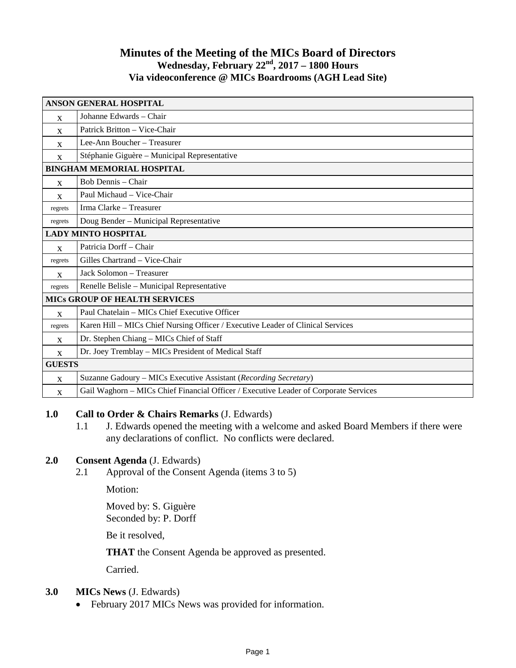# **Minutes of the Meeting of the MICs Board of Directors Wednesday, February 22nd, 2017 – 1800 Hours Via videoconference @ MICs Boardrooms (AGH Lead Site)**

| <b>ANSON GENERAL HOSPITAL</b>        |                                                                                      |
|--------------------------------------|--------------------------------------------------------------------------------------|
| $\mathbf{x}$                         | Johanne Edwards - Chair                                                              |
| $\mathbf{x}$                         | Patrick Britton - Vice-Chair                                                         |
| $\mathbf{x}$                         | Lee-Ann Boucher - Treasurer                                                          |
| $\mathbf{x}$                         | Stéphanie Giguère – Municipal Representative                                         |
| <b>BINGHAM MEMORIAL HOSPITAL</b>     |                                                                                      |
| $\mathbf{x}$                         | Bob Dennis - Chair                                                                   |
| X                                    | Paul Michaud - Vice-Chair                                                            |
| regrets                              | Irma Clarke - Treasurer                                                              |
| regrets                              | Doug Bender - Municipal Representative                                               |
| <b>LADY MINTO HOSPITAL</b>           |                                                                                      |
| X                                    | Patricia Dorff - Chair                                                               |
| regrets                              | Gilles Chartrand - Vice-Chair                                                        |
| $\mathbf{x}$                         | Jack Solomon - Treasurer                                                             |
| regrets                              | Renelle Belisle - Municipal Representative                                           |
| <b>MICS GROUP OF HEALTH SERVICES</b> |                                                                                      |
| $\mathbf{X}$                         | Paul Chatelain - MICs Chief Executive Officer                                        |
| regrets                              | Karen Hill - MICs Chief Nursing Officer / Executive Leader of Clinical Services      |
| $\mathbf{x}$                         | Dr. Stephen Chiang - MICs Chief of Staff                                             |
| $\mathbf{x}$                         | Dr. Joey Tremblay - MICs President of Medical Staff                                  |
| <b>GUESTS</b>                        |                                                                                      |
| X                                    | Suzanne Gadoury - MICs Executive Assistant (Recording Secretary)                     |
| X                                    | Gail Waghorn - MICs Chief Financial Officer / Executive Leader of Corporate Services |

## **1.0 Call to Order & Chairs Remarks** (J. Edwards)

1.1 J. Edwards opened the meeting with a welcome and asked Board Members if there were any declarations of conflict. No conflicts were declared.

# **2.0 Consent Agenda** (J. Edwards)

2.1 Approval of the Consent Agenda (items 3 to 5)

Motion:

Moved by: S. Giguère Seconded by: P. Dorff

Be it resolved,

**THAT** the Consent Agenda be approved as presented.

Carried.

### **3.0 MICs News** (J. Edwards)

• February 2017 MICs News was provided for information.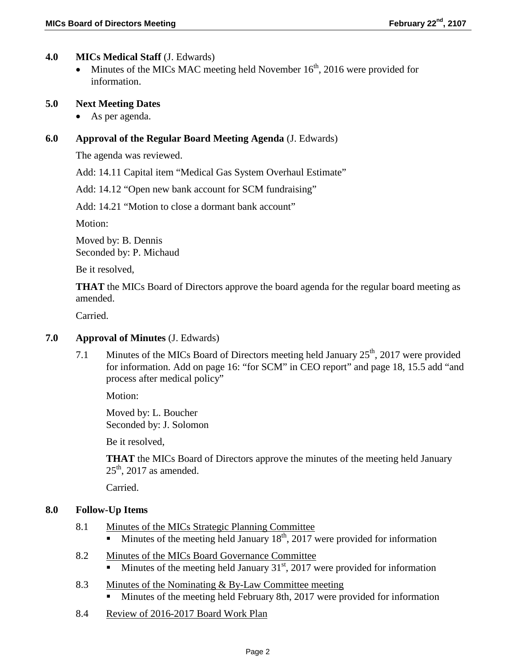## **4.0 MICs Medical Staff** (J. Edwards)

• Minutes of the MICs MAC meeting held November  $16<sup>th</sup>$ , 2016 were provided for information.

#### **5.0 Next Meeting Dates**

• As per agenda.

#### **6.0 Approval of the Regular Board Meeting Agenda** (J. Edwards)

The agenda was reviewed.

Add: 14.11 Capital item "Medical Gas System Overhaul Estimate"

Add: 14.12 "Open new bank account for SCM fundraising"

Add: 14.21 "Motion to close a dormant bank account"

Motion:

Moved by: B. Dennis Seconded by: P. Michaud

Be it resolved,

**THAT** the MICs Board of Directors approve the board agenda for the regular board meeting as amended.

Carried.

#### **7.0 Approval of Minutes** (J. Edwards)

7.1 Minutes of the MICs Board of Directors meeting held January  $25<sup>th</sup>$ , 2017 were provided for information. Add on page 16: "for SCM" in CEO report" and page 18, 15.5 add "and process after medical policy"

Motion:

Moved by: L. Boucher Seconded by: J. Solomon

Be it resolved,

**THAT** the MICs Board of Directors approve the minutes of the meeting held January  $25<sup>th</sup>$ , 2017 as amended.

Carried.

#### **8.0 Follow-Up Items**

- 8.1 Minutes of the MICs Strategic Planning Committee
	- Minutes of the meeting held January  $18<sup>th</sup>$ , 2017 were provided for information
- 8.2 Minutes of the MICs Board Governance Committee Minutes of the meeting held January  $31<sup>st</sup>$ , 2017 were provided for information
- 8.3 Minutes of the Nominating & By-Law Committee meeting Minutes of the meeting held February 8th, 2017 were provided for information
- 8.4 Review of 2016-2017 Board Work Plan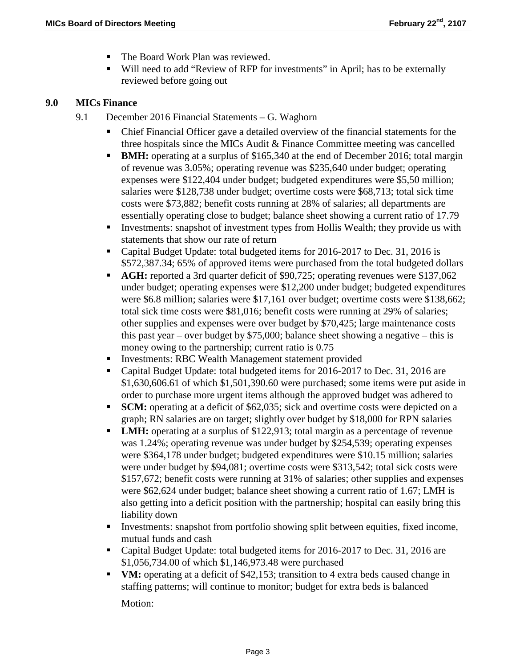- The Board Work Plan was reviewed.
- Will need to add "Review of RFP for investments" in April; has to be externally reviewed before going out

### **9.0 MICs Finance**

- 9.1 December 2016 Financial Statements G. Waghorn
	- Chief Financial Officer gave a detailed overview of the financial statements for the three hospitals since the MICs Audit & Finance Committee meeting was cancelled
	- **BMH:** operating at a surplus of \$165,340 at the end of December 2016; total margin of revenue was 3.05%; operating revenue was \$235,640 under budget; operating expenses were \$122,404 under budget; budgeted expenditures were \$5,50 million; salaries were \$128,738 under budget; overtime costs were \$68,713; total sick time costs were \$73,882; benefit costs running at 28% of salaries; all departments are essentially operating close to budget; balance sheet showing a current ratio of 17.79
	- Investments: snapshot of investment types from Hollis Wealth; they provide us with statements that show our rate of return
	- Capital Budget Update: total budgeted items for 2016-2017 to Dec. 31, 2016 is \$572,387.34; 65% of approved items were purchased from the total budgeted dollars
	- **AGH:** reported a 3rd quarter deficit of \$90,725; operating revenues were \$137,062 under budget; operating expenses were \$12,200 under budget; budgeted expenditures were \$6.8 million; salaries were \$17,161 over budget; overtime costs were \$138,662; total sick time costs were \$81,016; benefit costs were running at 29% of salaries; other supplies and expenses were over budget by \$70,425; large maintenance costs this past year – over budget by \$75,000; balance sheet showing a negative – this is money owing to the partnership; current ratio is 0.75
	- Investments: RBC Wealth Management statement provided
	- Capital Budget Update: total budgeted items for 2016-2017 to Dec. 31, 2016 are \$1,630,606.61 of which \$1,501,390.60 were purchased; some items were put aside in order to purchase more urgent items although the approved budget was adhered to
	- **SCM:** operating at a deficit of \$62,035; sick and overtime costs were depicted on a graph; RN salaries are on target; slightly over budget by \$18,000 for RPN salaries
	- **LMH:** operating at a surplus of \$122,913; total margin as a percentage of revenue was 1.24%; operating revenue was under budget by \$254,539; operating expenses were \$364,178 under budget; budgeted expenditures were \$10.15 million; salaries were under budget by \$94,081; overtime costs were \$313,542; total sick costs were \$157,672; benefit costs were running at 31% of salaries; other supplies and expenses were \$62,624 under budget; balance sheet showing a current ratio of 1.67; LMH is also getting into a deficit position with the partnership; hospital can easily bring this liability down
	- Investments: snapshot from portfolio showing split between equities, fixed income, mutual funds and cash
	- Capital Budget Update: total budgeted items for 2016-2017 to Dec. 31, 2016 are \$1,056,734.00 of which \$1,146,973.48 were purchased
	- **VM:** operating at a deficit of \$42,153; transition to 4 extra beds caused change in staffing patterns; will continue to monitor; budget for extra beds is balanced

Motion: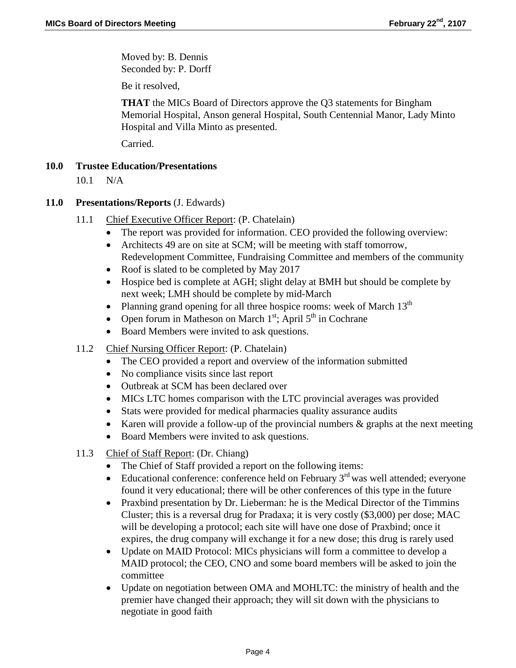Moved by: B. Dennis Seconded by: P. Dorff

Be it resolved,

**THAT** the MICs Board of Directors approve the Q3 statements for Bingham Memorial Hospital, Anson general Hospital, South Centennial Manor, Lady Minto Hospital and Villa Minto as presented.

Carried.

# **10.0 Trustee Education/Presentations**

10.1 N/A

## **11.0 Presentations/Reports** (J. Edwards)

- 11.1 Chief Executive Officer Report: (P. Chatelain)
	- The report was provided for information. CEO provided the following overview:
	- Architects 49 are on site at SCM; will be meeting with staff tomorrow, Redevelopment Committee, Fundraising Committee and members of the community
	- Roof is slated to be completed by May 2017
	- Hospice bed is complete at AGH; slight delay at BMH but should be complete by next week; LMH should be complete by mid-March
	- Planning grand opening for all three hospice rooms: week of March  $13<sup>th</sup>$
	- Open forum in Matheson on March  $1<sup>st</sup>$ ; April  $5<sup>th</sup>$  in Cochrane
	- Board Members were invited to ask questions.
- 11.2 Chief Nursing Officer Report: (P. Chatelain)
	- The CEO provided a report and overview of the information submitted
	- No compliance visits since last report
	- Outbreak at SCM has been declared over
	- MICs LTC homes comparison with the LTC provincial averages was provided
	- Stats were provided for medical pharmacies quality assurance audits
	- Karen will provide a follow-up of the provincial numbers & graphs at the next meeting
	- Board Members were invited to ask questions.
- 11.3 Chief of Staff Report: (Dr. Chiang)
	- The Chief of Staff provided a report on the following items:
	- Educational conference: conference held on February  $3<sup>rd</sup>$  was well attended; everyone found it very educational; there will be other conferences of this type in the future
	- Praxbind presentation by Dr. Lieberman: he is the Medical Director of the Timmins Cluster; this is a reversal drug for Pradaxa; it is very costly (\$3,000) per dose; MAC will be developing a protocol; each site will have one dose of Praxbind; once it expires, the drug company will exchange it for a new dose; this drug is rarely used
	- Update on MAID Protocol: MICs physicians will form a committee to develop a MAID protocol; the CEO, CNO and some board members will be asked to join the committee
	- Update on negotiation between OMA and MOHLTC: the ministry of health and the premier have changed their approach; they will sit down with the physicians to negotiate in good faith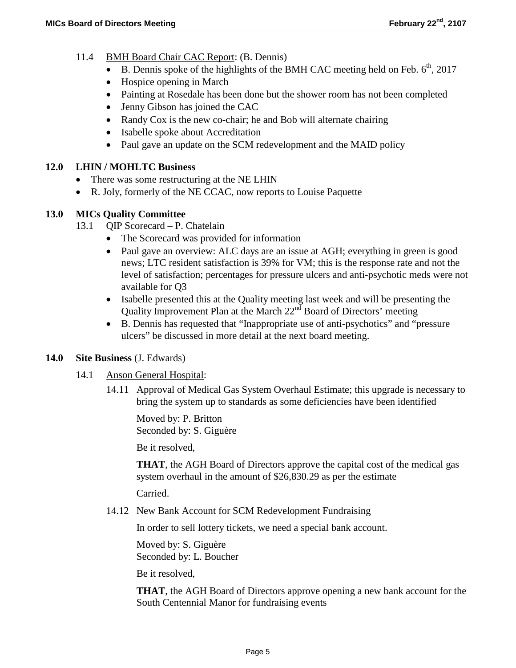- 11.4 BMH Board Chair CAC Report: (B. Dennis)
	- B. Dennis spoke of the highlights of the BMH CAC meeting held on Feb.  $6<sup>th</sup>$ , 2017
	- Hospice opening in March
	- Painting at Rosedale has been done but the shower room has not been completed
	- Jenny Gibson has joined the CAC
	- Randy Cox is the new co-chair; he and Bob will alternate chairing
	- Isabelle spoke about Accreditation
	- Paul gave an update on the SCM redevelopment and the MAID policy

## **12.0 LHIN / MOHLTC Business**

- There was some restructuring at the NE LHIN
- R. Joly, formerly of the NE CCAC, now reports to Louise Paquette

# **13.0 MICs Quality Committee**

- 13.1 QIP Scorecard P. Chatelain
	- The Scorecard was provided for information
	- Paul gave an overview: ALC days are an issue at AGH; everything in green is good news; LTC resident satisfaction is 39% for VM; this is the response rate and not the level of satisfaction; percentages for pressure ulcers and anti-psychotic meds were not available for Q3
	- Isabelle presented this at the Quality meeting last week and will be presenting the Quality Improvement Plan at the March  $22<sup>nd</sup>$  Board of Directors' meeting
	- B. Dennis has requested that "Inappropriate use of anti-psychotics" and "pressure ulcers" be discussed in more detail at the next board meeting.

## **14.0 Site Business** (J. Edwards)

- 14.1 Anson General Hospital:
	- 14.11 Approval of Medical Gas System Overhaul Estimate; this upgrade is necessary to bring the system up to standards as some deficiencies have been identified

Moved by: P. Britton Seconded by: S. Giguère

Be it resolved,

**THAT**, the AGH Board of Directors approve the capital cost of the medical gas system overhaul in the amount of \$26,830.29 as per the estimate

Carried.

14.12 New Bank Account for SCM Redevelopment Fundraising

In order to sell lottery tickets, we need a special bank account.

Moved by: S. Giguère Seconded by: L. Boucher

Be it resolved,

**THAT**, the AGH Board of Directors approve opening a new bank account for the South Centennial Manor for fundraising events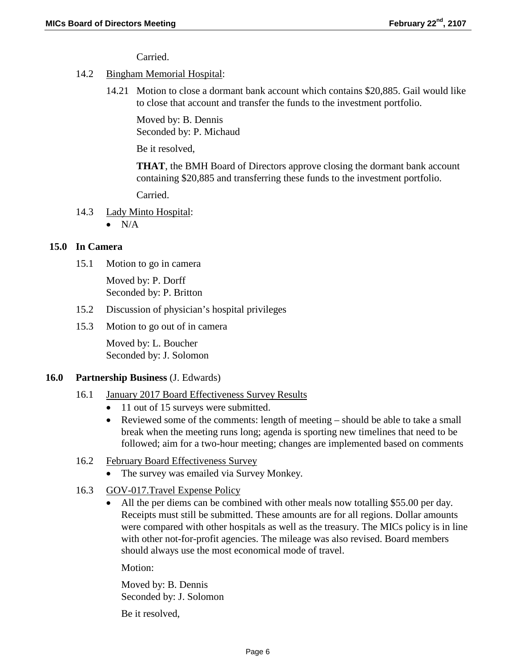Carried.

## 14.2 Bingham Memorial Hospital:

14.21 Motion to close a dormant bank account which contains \$20,885. Gail would like to close that account and transfer the funds to the investment portfolio.

Moved by: B. Dennis Seconded by: P. Michaud

Be it resolved,

**THAT**, the BMH Board of Directors approve closing the dormant bank account containing \$20,885 and transferring these funds to the investment portfolio.

Carried.

14.3 Lady Minto Hospital:

 $\bullet$  N/A

## **15.0 In Camera**

15.1 Motion to go in camera

Moved by: P. Dorff Seconded by: P. Britton

- 15.2 Discussion of physician's hospital privileges
- 15.3 Motion to go out of in camera

Moved by: L. Boucher Seconded by: J. Solomon

### **16.0 Partnership Business** (J. Edwards)

### 16.1 January 2017 Board Effectiveness Survey Results

- 11 out of 15 surveys were submitted.
- Reviewed some of the comments: length of meeting should be able to take a small break when the meeting runs long; agenda is sporting new timelines that need to be followed; aim for a two-hour meeting; changes are implemented based on comments
- 16.2 February Board Effectiveness Survey
	- The survey was emailed via Survey Monkey.
- 16.3 GOV-017.Travel Expense Policy
	- All the per diems can be combined with other meals now totalling \$55.00 per day. Receipts must still be submitted. These amounts are for all regions. Dollar amounts were compared with other hospitals as well as the treasury. The MICs policy is in line with other not-for-profit agencies. The mileage was also revised. Board members should always use the most economical mode of travel.

Motion:

Moved by: B. Dennis Seconded by: J. Solomon

Be it resolved,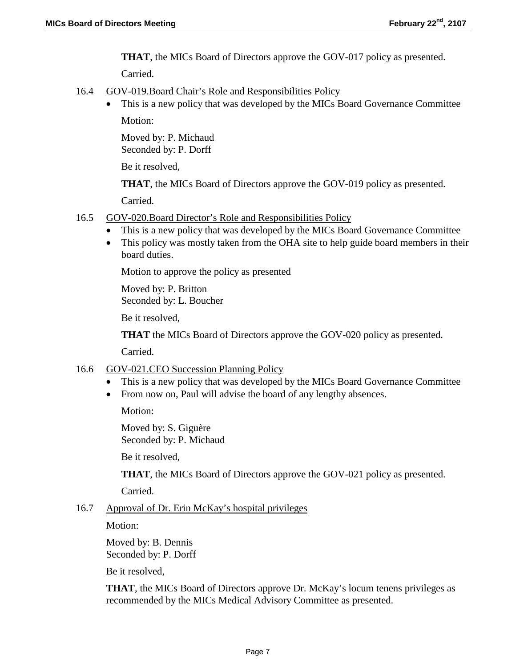**THAT**, the MICs Board of Directors approve the GOV-017 policy as presented.

Carried.

- 16.4 GOV-019.Board Chair's Role and Responsibilities Policy
	- This is a new policy that was developed by the MICs Board Governance Committee

Motion:

Moved by: P. Michaud Seconded by: P. Dorff

Be it resolved,

**THAT**, the MICs Board of Directors approve the GOV-019 policy as presented.

Carried.

- 16.5 GOV-020.Board Director's Role and Responsibilities Policy
	- This is a new policy that was developed by the MICs Board Governance Committee
	- This policy was mostly taken from the OHA site to help guide board members in their board duties.

Motion to approve the policy as presented

Moved by: P. Britton Seconded by: L. Boucher

Be it resolved,

**THAT** the MICs Board of Directors approve the GOV-020 policy as presented.

Carried.

### 16.6 GOV-021.CEO Succession Planning Policy

- This is a new policy that was developed by the MICs Board Governance Committee
- From now on, Paul will advise the board of any lengthy absences.

Motion:

Moved by: S. Giguère Seconded by: P. Michaud

Be it resolved,

**THAT**, the MICs Board of Directors approve the GOV-021 policy as presented.

Carried.

### 16.7 Approval of Dr. Erin McKay's hospital privileges

Motion:

Moved by: B. Dennis Seconded by: P. Dorff

Be it resolved,

**THAT**, the MICs Board of Directors approve Dr. McKay's locum tenens privileges as recommended by the MICs Medical Advisory Committee as presented.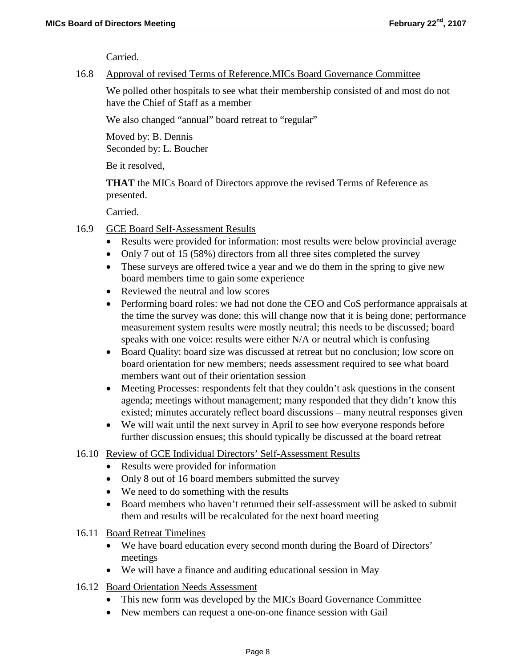Carried.

#### 16.8 Approval of revised Terms of Reference.MICs Board Governance Committee

We polled other hospitals to see what their membership consisted of and most do not have the Chief of Staff as a member

We also changed "annual" board retreat to "regular"

Moved by: B. Dennis Seconded by: L. Boucher

Be it resolved,

**THAT** the MICs Board of Directors approve the revised Terms of Reference as presented.

Carried.

- 16.9 GCE Board Self-Assessment Results
	- Results were provided for information: most results were below provincial average
	- Only 7 out of 15 (58%) directors from all three sites completed the survey
	- These surveys are offered twice a year and we do them in the spring to give new board members time to gain some experience
	- Reviewed the neutral and low scores
	- Performing board roles: we had not done the CEO and CoS performance appraisals at the time the survey was done; this will change now that it is being done; performance measurement system results were mostly neutral; this needs to be discussed; board speaks with one voice: results were either N/A or neutral which is confusing
	- Board Quality: board size was discussed at retreat but no conclusion; low score on board orientation for new members; needs assessment required to see what board members want out of their orientation session
	- Meeting Processes: respondents felt that they couldn't ask questions in the consent agenda; meetings without management; many responded that they didn't know this existed; minutes accurately reflect board discussions – many neutral responses given
	- We will wait until the next survey in April to see how everyone responds before further discussion ensues; this should typically be discussed at the board retreat

### 16.10 Review of GCE Individual Directors' Self-Assessment Results

- Results were provided for information
- Only 8 out of 16 board members submitted the survey
- We need to do something with the results
- Board members who haven't returned their self-assessment will be asked to submit them and results will be recalculated for the next board meeting
- 16.11 Board Retreat Timelines
	- We have board education every second month during the Board of Directors' meetings
	- We will have a finance and auditing educational session in May
- 16.12 Board Orientation Needs Assessment
	- This new form was developed by the MICs Board Governance Committee
	- New members can request a one-on-one finance session with Gail